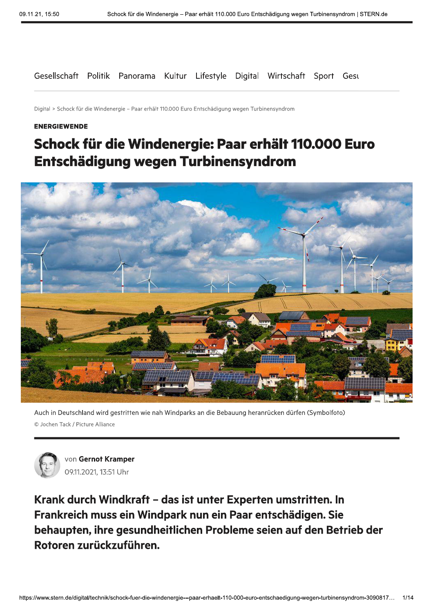Gesellschaft Politik Panorama Kultur Lifestyle Digital Wirtschaft Sport Gesu

Digital > Schock für die Windenergie - Paar erhält 110.000 Euro Entschädigung wegen Turbinensyndrom

#### **ENERGIEWENDE**

# Schock für die Windenergie: Paar erhält 110.000 Euro Entschädigung wegen Turbinensyndrom



Auch in Deutschland wird gestritten wie nah Windparks an die Bebauung heranrücken dürfen (Symbolfoto) © Jochen Tack / Picture Alliance



von Gernot Kramper 09.11.2021, 13:51 Uhr

Krank durch Windkraft - das ist unter Experten umstritten. In Frankreich muss ein Windpark nun ein Paar entschädigen. Sie behaupten, ihre gesundheitlichen Probleme seien auf den Betrieb der Rotoren zurückzuführen.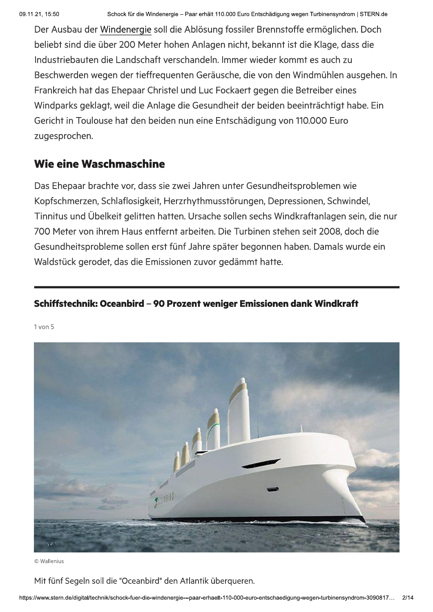Der Ausbau der Windenergie soll die Ablösung fossiler Brennstoffe ermöglichen. Doch beliebt sind die über 200 Meter hohen Anlagen nicht, bekannt ist die Klage, dass die Industriebauten die Landschaft verschandeln. Immer wieder kommt es auch zu Beschwerden wegen der tieffrequenten Geräusche, die von den Windmühlen ausgehen. In Frankreich hat das Ehepaar Christel und Luc Fockaert gegen die Betreiber eines Windparks geklagt, weil die Anlage die Gesundheit der beiden beeinträchtigt habe. Ein Gericht in Toulouse hat den beiden nun eine Entschädigung von 110.000 Euro zugesprochen.

## Wie eine Waschmaschine

Das Ehepaar brachte vor, dass sie zwei Jahren unter Gesundheitsproblemen wie Kopfschmerzen, Schlaflosigkeit, Herzrhythmusstörungen, Depressionen, Schwindel, Tinnitus und Übelkeit gelitten hatten. Ursache sollen sechs Windkraftanlagen sein, die nur 700 Meter von ihrem Haus entfernt arbeiten. Die Turbinen stehen seit 2008, doch die Gesundheitsprobleme sollen erst fünf Jahre später begonnen haben. Damals wurde ein Waldstück gerodet, das die Emissionen zuvor gedämmt hatte.

## Schiffstechnik: Oceanbird - 90 Prozent weniger Emissionen dank Windkraft

 $1$  von  $5$ 



© Wallenius

Mit fünf Segeln soll die "Oceanbird" den Atlantik überqueren.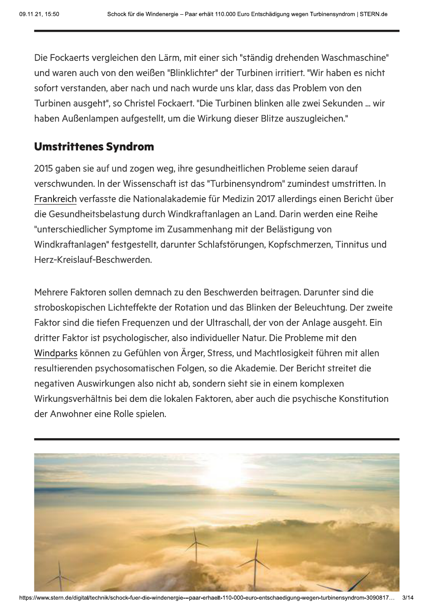hädigung wegen Turbinensyndrom | STERN.de<br>|<br>|ig drehenden Waschmaschine"<br>| Die Fockaerts vergleichen den Lärm, mit einer sich "ständig drehenden Waschmaschine" und waren auch von den weißen "Blinklichter" der Turbinen irritiert. "Wir haben es nicht sofort verstanden, aber nach und nach wurde uns klar, dass das Problem von den Turbinen ausgeht", so Christel Fockaert. "Die Turbinen blinken alle zwei Sekunden ... wir haben Außenlampen aufgestellt, um die Wirkung dieser Blitze auszugleichen."

## Umstrittenes Syndrom

2015 gaben sie auf und zogen weg, ihre gesundheitlichen Probleme seien darauf verschwunden. In der Wissenschaft ist das "Turbinensyndrom" zumindest umstritten. In Frankreich verfasste die Nationalakademie für Medizin 2017 allerdings einen Bericht über die Gesundheitsbelastung durch Windkraftanlagen an Land. Darin werden eine Reihe "unterschiedlicher Symptome im Zusammenhang mit der Belästigung von Windkraftanlagen" festgestellt, darunter Schlafstörungen, Kopfschmerzen, Tinnitus und Herz-Kreislauf-Beschwerden.

Mehrere Faktoren sollen demnach zu den Beschwerden beitragen. Darunter sind die stroboskopischen Lichteffekte der Rotation und das Blinken der Beleuchtung. Der zweite Faktor sind die tiefen Frequenzen und der Ultraschall, der von der Anlage ausgeht. Ein dritter Faktor ist psychologischer, also individueller Natur. Die Probleme mit den Windparks können zu Gefühlen von Ärger, Stress, und Machtlosigkeit führen mit allen resultierenden psychosomatischen Folgen, so die Akademie. Der Bericht streitet die negativen Auswirkungen also nicht ab, sondern sieht sie in einem komplexen Wirkungsverhältnis bei dem die lokalen Faktoren, aber auch die psychische Konstitution der Anwohner eine Rolle spielen.

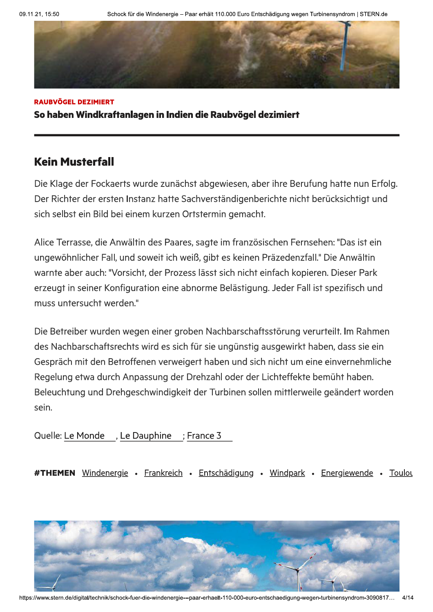

RAUBVÖGEL DEZIMIERT So haben Windkraftanlagen in Indien die Raubvögel dezimiert

## **Kein Musterfall**

Die Klage der Fockaerts wurde zunächst abgewiesen, aber ihre Berufung hatte nun Erfolg. Der Richter der ersten Instanz hatte Sachverständigenberichte nicht berücksichtigt und sich selbst ein Bild bei einem kurzen Ortstermin gemacht.

Alice Terrasse, die Anwältin des Paares, sagte im französischen Fernsehen: "Das ist ein ungewöhnlicher Fall, und soweit ich weiß, gibt es keinen Präzedenzfall." Die Anwältin warnte aber auch: "Vorsicht, der Prozess lässt sich nicht einfach kopieren. Dieser Park erzeugt in seiner Konfiguration eine abnorme Belästigung. Jeder Fall ist spezifisch und muss untersucht werden."

Die Betreiber wurden wegen einer groben Nachbarschaftsstörung verurteilt. Im Rahmen des Nachbarschaftsrechts wird es sich für sie ungünstig ausgewirkt haben, dass sie ein Gespräch mit den Betroffenen verweigert haben und sich nicht um eine einvernehmliche Regelung etwa durch Anpassung der Drehzahl oder der Lichteffekte bemüht haben. Beleuchtung und Drehgeschwindigkeit der Turbinen sollen mittlerweile geändert worden sein.

Quelle: Le Monde, Le Dauphine; France 3

#THEMEN <u>Windenergie</u> • <u>Frankreich</u> • <u>Entschadigung</u> • <u>Windpark</u> • Energ<u>iewende</u> • <u>Toulot</u>



nttps://www.stern.de/digital/technik/schock-fuer-die-windenergie---paar-erhaelt-110-000-euro-entschaedigung-wegen-turbinensyndrom-3090817… 4/14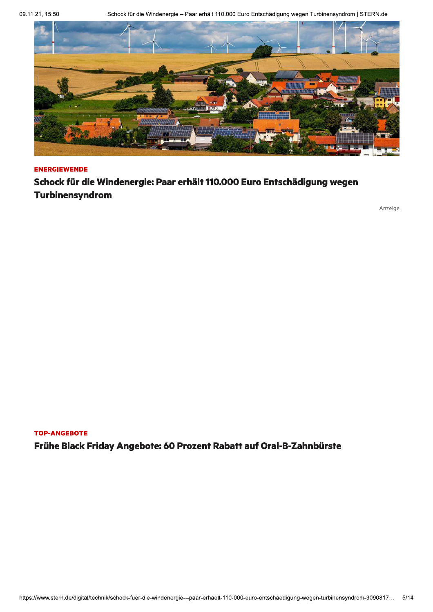09.11.21, 15:50

Schock für die Windenergie - Paar erhält 110.000 Euro Entschädigung wegen Turbinensyndrom | STERN.de



#### **ENERGIEWENDE**

Schock für die Windenergie: Paar erhält 110.000 Euro Entschädigung wegen Turbinensyndrom

Anzeige

#### **TOP-ANGEBOTE**

Frühe Black Friday Angebote: 60 Prozent Rabatt auf Oral-B-Zahnbürste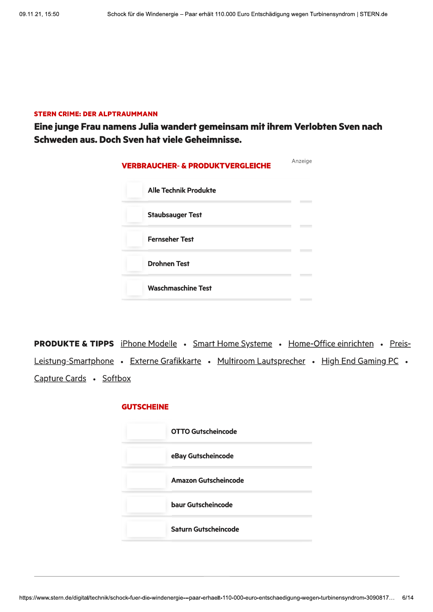#### **STERN CRIME: DER ALPTRAUMMANN**

Eine junge Frau namens Julia wandert gemeinsam mit ihrem Verlobten Sven nach Schweden aus. Doch Sven hat viele Geheimnisse.

| <b>VERBRAUCHER- &amp; PRODUKTVERGLEICHE</b> | Anzeige |
|---------------------------------------------|---------|
| <b>Alle Technik Produkte</b>                |         |
| <b>Staubsauger Test</b>                     |         |
| <b>Fernseher Test</b>                       |         |
| <b>Drohnen Test</b>                         |         |
| <b>Waschmaschine Test</b>                   |         |

**PRODUKTE & TIPPS** iPhone Modelle . Smart Home Systeme . Home-Office einrichten . Preis-Leistung-Smartphone • Externe Grafikkarte • Multiroom Lautsprecher • High End Gaming PC • Capture Cards . Softbox

#### **GUTSCHEINE**

| <b>OTTO Gutscheincode</b> |
|---------------------------|
| eBay Gutscheincode        |
| Amazon Gutscheincode      |
| baur Gutscheincode        |
| Saturn Gutscheincode      |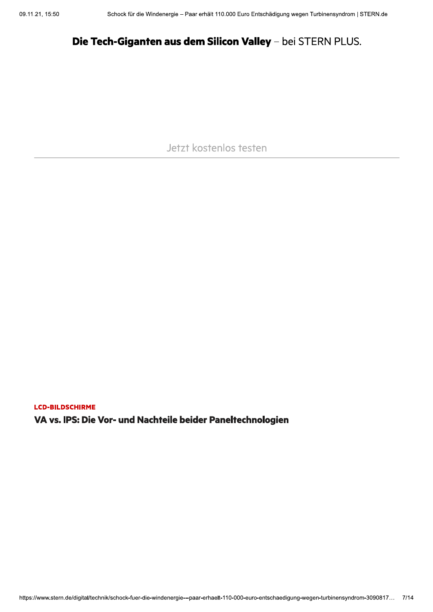## Die Tech-Giganten aus dem Silicon Valley - bei STERN PLUS.

Jetzt kostenlos testen

**LCD-BILDSCHIRME** 

VA vs. IPS: Die Vor- und Nachteile beider Paneltechnologien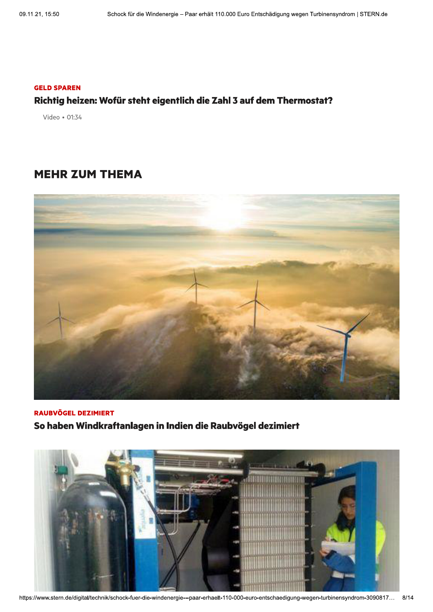#### **GELD SPAREN**

### Richtig heizen: Wofür steht eigentlich die Zahl 3 auf dem Thermostat?

Video · 01:34

## **MEHR ZUM THEMA**



**RAUBVÖGEL DEZIMIERT** So haben Windkraftanlagen in Indien die Raubvögel dezimiert

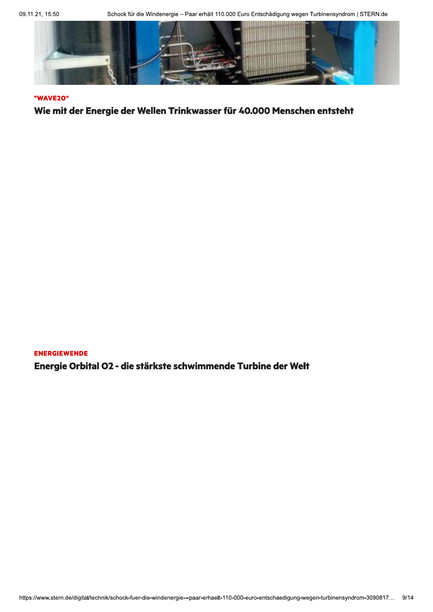Schock für die Windenergie - Paar erhält 110.000 Euro Entschädigung wegen Turbinensyndrom | STERN.de



#### "WAVE20"

Wie mit der Energie der Wellen Trinkwasser für 40.000 Menschen entsteht

**ENERGIEWENDE** Energie Orbital O2 - die stärkste schwimmende Turbine der Welt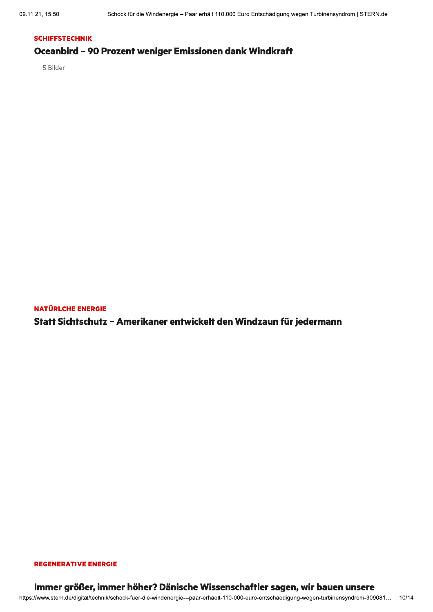### **SCHIFFSTECHNIK** Oceanbird - 90 Prozent weniger Emissionen dank Windkraft

5 Bilder

**NATÜRLCHE ENERGIE** 

Statt Sichtschutz - Amerikaner entwickelt den Windzaun für jedermann

#### **REGENERATIVE ENERGIE**

#### Immer größer, immer höher? Dänische Wissenschaftler sagen, wir bauen unsere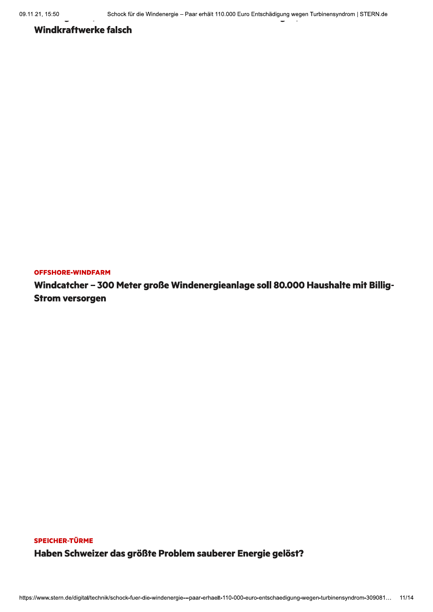### **Windkraftwerke falsch**

**OFFSHORE-WINDFARM** 

Windcatcher - 300 Meter große Windenergieanlage soll 80.000 Haushalte mit Billig-**Strom versorgen** 

## SPEICHER-TÜRME Haben Schweizer das größte Problem sauberer Energie gelöst?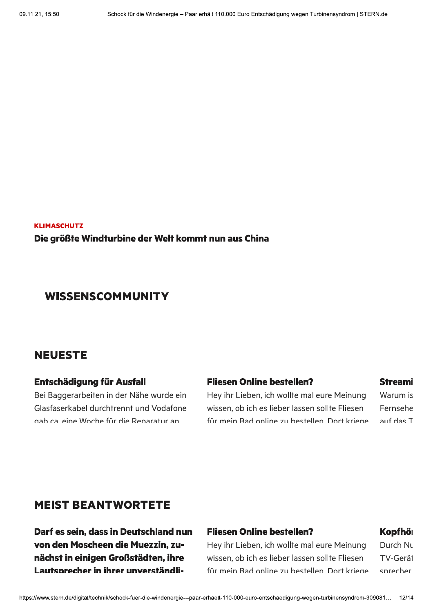**KLIMASCHUTZ** Die größte Windturbine der Welt kommt nun aus China

## **WISSENSCOMMUNITY**

## **NEUESTE**

### Entschädigung für Ausfall

Bei Baggerarbeiten in der Nähe wurde ein Glasfaserkabel durchtrennt und Vodafone gab calleine Woche für die Reparatur an

### **Fliesen Online bestellen?**

Hey ihr Lieben, ich wollte mal eure Meinung wissen, ob ich es lieber lassen sollte Fliesen für mein Bad online zu bestellen. Dort kriege

#### **Streami**

Warum is Fernsehe auf das T

## **MEIST BEANTWORTETE**

Darf es sein, dass in Deutschland nun von den Moscheen die Muezzin. zunächst in einigen Großstädten, ihre Lautsprecher in ihrer unverständli-

### **Fliesen Online bestellen?**

Hey ihr Lieben, ich wollte mal eure Meinung wissen, ob ich es lieber lassen sollte Fliesen für mein Rad online zu bestellen Dort kriege

### Kopfhör

Durch Nu **TV-Gerät** chrachar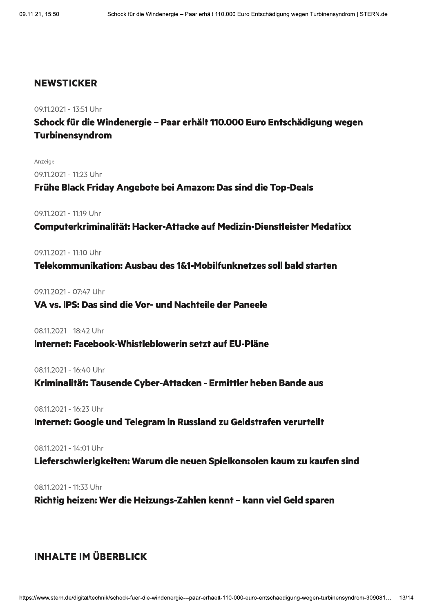### **NEWSTICKER**

09.11.2021 - 13:51 Uhr

Schock für die Windenergie - Paar erhält 110.000 Euro Entschädigung wegen **Turbinensyndrom** 

Anzeige

09.11.2021 - 11:23 Uhr

Frühe Black Friday Angebote bei Amazon: Das sind die Top-Deals

09.11.2021 - 11:19 Uhr

Computerkriminalität: Hacker-Attacke auf Medizin-Dienstleister Medatixx

09.11.2021 - 11:10 Uhr

Telekommunikation: Ausbau des 1&1-Mobilfunknetzes soll bald starten

0911.2021 - 07:47 Uhr

### VA vs. IPS: Das sind die Vor- und Nachteile der Paneele

08.11.2021 - 18:42 Uhr

#### Internet: Facebook-Whistleblowerin setzt auf EU-Pläne

08.11.2021 - 16:40 Uhr

Kriminalität: Tausende Cyber-Attacken - Ermittler heben Bande aus

08.11.2021 - 16:23 Uhr

Internet: Google und Telegram in Russland zu Geldstrafen verurteilt

08.11.2021 - 14:01 Uhr

Lieferschwierigkeiten: Warum die neuen Spielkonsolen kaum zu kaufen sind

08.11.2021 - 11:33 Uhr

Richtig heizen: Wer die Heizungs-Zahlen kennt - kann viel Geld sparen

## **INHALTE IM ÜBERBLICK**